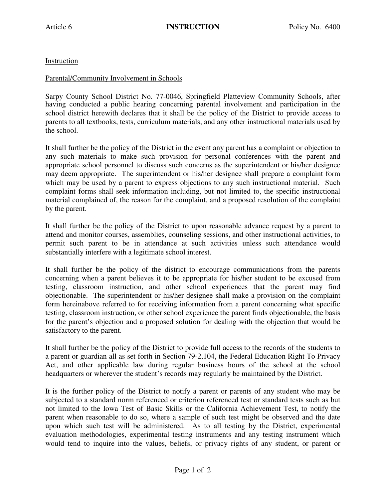Instruction

## Parental/Community Involvement in Schools

Sarpy County School District No. 77-0046, Springfield Platteview Community Schools, after having conducted a public hearing concerning parental involvement and participation in the school district herewith declares that it shall be the policy of the District to provide access to parents to all textbooks, tests, curriculum materials, and any other instructional materials used by the school.

It shall further be the policy of the District in the event any parent has a complaint or objection to any such materials to make such provision for personal conferences with the parent and appropriate school personnel to discuss such concerns as the superintendent or his/her designee may deem appropriate. The superintendent or his/her designee shall prepare a complaint form which may be used by a parent to express objections to any such instructional material. Such complaint forms shall seek information including, but not limited to, the specific instructional material complained of, the reason for the complaint, and a proposed resolution of the complaint by the parent.

It shall further be the policy of the District to upon reasonable advance request by a parent to attend and monitor courses, assemblies, counseling sessions, and other instructional activities, to permit such parent to be in attendance at such activities unless such attendance would substantially interfere with a legitimate school interest.

It shall further be the policy of the district to encourage communications from the parents concerning when a parent believes it to be appropriate for his/her student to be excused from testing, classroom instruction, and other school experiences that the parent may find objectionable. The superintendent or his/her designee shall make a provision on the complaint form hereinabove referred to for receiving information from a parent concerning what specific testing, classroom instruction, or other school experience the parent finds objectionable, the basis for the parent's objection and a proposed solution for dealing with the objection that would be satisfactory to the parent.

It shall further be the policy of the District to provide full access to the records of the students to a parent or guardian all as set forth in Section 79-2,104, the Federal Education Right To Privacy Act, and other applicable law during regular business hours of the school at the school headquarters or wherever the student's records may regularly be maintained by the District.

It is the further policy of the District to notify a parent or parents of any student who may be subjected to a standard norm referenced or criterion referenced test or standard tests such as but not limited to the Iowa Test of Basic Skills or the California Achievement Test, to notify the parent when reasonable to do so, where a sample of such test might be observed and the date upon which such test will be administered. As to all testing by the District, experimental evaluation methodologies, experimental testing instruments and any testing instrument which would tend to inquire into the values, beliefs, or privacy rights of any student, or parent or